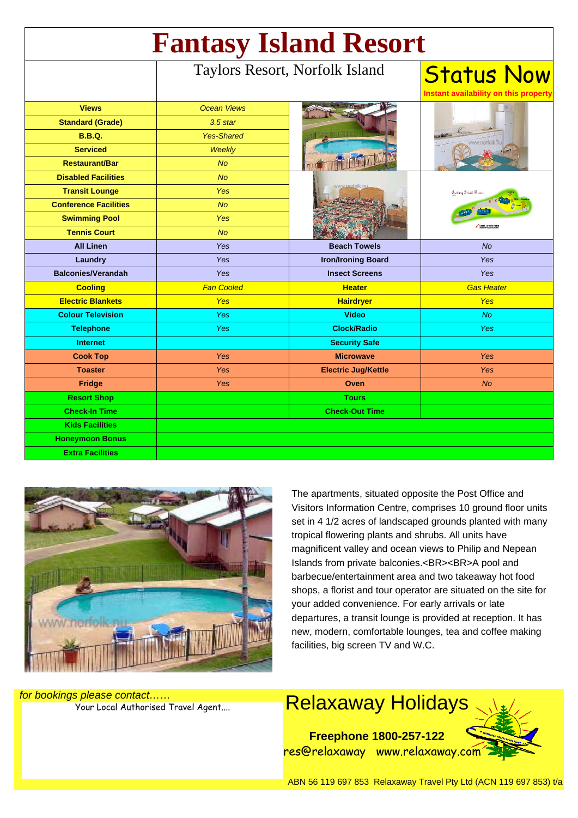| <b>Fantasy Island Resort</b> |                                |                            |                                                            |
|------------------------------|--------------------------------|----------------------------|------------------------------------------------------------|
|                              | Taylors Resort, Norfolk Island |                            | <b>Status Now</b><br>Instant availability on this property |
| <b>Views</b>                 | <b>Ocean Views</b>             |                            |                                                            |
| <b>Standard (Grade)</b>      | $3.5$ star                     |                            |                                                            |
| <b>B.B.Q.</b>                | <b>Yes-Shared</b>              |                            | ww.nerfolk.                                                |
| <b>Serviced</b>              | Weekly                         |                            |                                                            |
| <b>Restaurant/Bar</b>        | <b>No</b>                      |                            |                                                            |
| <b>Disabled Facilities</b>   | <b>No</b>                      |                            | Fantacy Erland Ro<br>Coger Thomas Phillip                  |
| <b>Transit Lounge</b>        | <b>Yes</b>                     |                            |                                                            |
| <b>Conference Facilities</b> | <b>No</b>                      |                            |                                                            |
| <b>Swimming Pool</b>         | Yes                            |                            |                                                            |
| <b>Tennis Court</b>          | <b>No</b>                      |                            |                                                            |
| <b>All Linen</b>             | Yes                            | <b>Beach Towels</b>        | No                                                         |
| Laundry                      | Yes                            | <b>Iron/Ironing Board</b>  | <b>Yes</b>                                                 |
| <b>Balconies/Verandah</b>    | Yes                            | <b>Insect Screens</b>      | <b>Yes</b>                                                 |
| <b>Cooling</b>               | <b>Fan Cooled</b>              | <b>Heater</b>              | <b>Gas Heater</b>                                          |
| <b>Electric Blankets</b>     | Yes                            | <b>Hairdryer</b>           | <b>Yes</b>                                                 |
| <b>Colour Television</b>     | <b>Yes</b>                     | <b>Video</b>               | No.                                                        |
| <b>Telephone</b>             | <b>Yes</b>                     | <b>Clock/Radio</b>         | <b>Yes</b>                                                 |
| <b>Internet</b>              |                                | <b>Security Safe</b>       |                                                            |
| <b>Cook Top</b>              | Yes                            | <b>Microwave</b>           | <b>Yes</b>                                                 |
| <b>Toaster</b>               | Yes                            | <b>Electric Jug/Kettle</b> | <b>Yes</b>                                                 |
| Fridge                       | Yes                            | <b>Oven</b>                | <b>No</b>                                                  |
| <b>Resort Shop</b>           |                                | <b>Tours</b>               |                                                            |
| <b>Check-In Time</b>         |                                | <b>Check-Out Time</b>      |                                                            |
| <b>Kids Facilities</b>       |                                |                            |                                                            |
| <b>Honeymoon Bonus</b>       |                                |                            |                                                            |
| <b>Extra Facilities</b>      |                                |                            |                                                            |



The apartments, situated opposite the Post Office and Visitors Information Centre, comprises 10 ground floor units set in 4 1/2 acres of landscaped grounds planted with many tropical flowering plants and shrubs. All units have magnificent valley and ocean views to Philip and Nepean Islands from private balconies.<BR><BR>A pool and barbecue/entertainment area and two takeaway hot food shops, a florist and tour operator are situated on the site for your added convenience. For early arrivals or late departures, a transit lounge is provided at reception. It has new, modern, comfortable lounges, tea and coffee making facilities, big screen TV and W.C.

S please contact......<br>Your Local Authorised Travel Agent.... **Relaxaway Holidays Freephone 1800-257-122** res@relaxaway www.relaxaway.com

for bookings please contact……